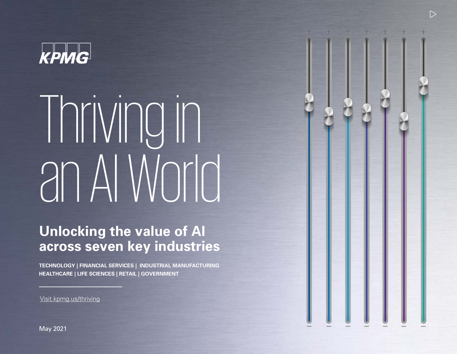

# Thriving in an AI World

 $\triangleright$ 

## **Unlocking the value of AI across seven key industries**

**TECHNOLOGY | FINANCIAL SERVICES | INDUSTRIAL MANUFACTURING HEALTHCARE | LIFE SCIENCES | RETAIL | GOVERNMENT**

Visit.kpmg.us/thriving

May 2021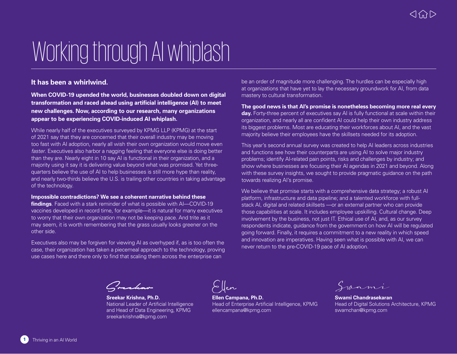## Working through AI whiplash

### **It has been a whirlwind.**

**When COVID-19 upended the world, businesses doubled down on digital transformation and raced ahead using artificial intelligence (AI) to meet new challenges. Now, according to our research, many organizations appear to be experiencing COVID-induced AI whiplash.**

While nearly half of the executives surveyed by KPMG LLP (KPMG) at the start of 2021 say that they are concerned that their overall industry may be moving too fast with AI adoption, nearly all wish their own organization would move even *faster*. Executives also harbor a nagging feeling that everyone else is doing better than they are. Nearly eight in 10 say AI is functional in their organization, and a majority using it say it is delivering value beyond what was promised. Yet threequarters believe the use of AI to help businesses is still more hype than reality, and nearly two-thirds believe the U.S. is trailing other countries in taking advantage of the technology.

### **Impossible contradictions? We see a coherent narrative behind these**

**findings**. Faced with a stark reminder of what is possible with AI—COVID-19 vaccines developed in record time, for example—it is natural for many executives to worry that their own organization may not be keeping pace. And trite as it may seem, it is worth remembering that the grass usually looks greener on the other side.

Executives also may be forgiven for viewing AI as overhyped if, as is too often the case, their organization has taken a piecemeal approach to the technology, proving use cases here and there only to find that scaling them across the enterprise can

be an order of magnitude more challenging. The hurdles can be especially high at organizations that have yet to lay the necessary groundwork for AI, from data mastery to cultural transformation.

**The good news is that AI's promise is nonetheless becoming more real every day.** Forty-three percent of executives say AI is fully functional at scale within their organization, and nearly all are confident AI could help their own industry address its biggest problems. Most are educating their workforces about AI, and the vast majority believe their employees have the skillsets needed for its adoption.

This year's second annual survey was created to help AI leaders across industries and functions see how their counterparts are using AI to solve major industry problems; identify AI-related pain points, risks and challenges by industry; and show where businesses are focusing their AI agendas in 2021 and beyond. Along with these survey insights, we sought to provide pragmatic guidance on the path towards realizing AI's promise.

We believe that promise starts with a comprehensive data strategy; a robust AI platform, infrastructure and data pipeline; and a talented workforce with fullstack AI, digital and related skillsets —or an external partner who can provide those capabilities at scale. It includes employee upskilling. Cultural change. Deep involvement by the business, not just IT. Ethical use of AI, and, as our survey respondents indicate, guidance from the government on how AI will be regulated going forward. Finally, it requires a commitment to a new reality in which speed and innovation are imperatives. Having seen what is possible with AI, we can never return to the pre-COVID-19 pace of AI adoption.

Creekar

**Sreekar Krishna, Ph.D.** National Leader of Artificial Intelligence and Head of Data Engineering, KPMG sreekarkrishna@kpmg.com

**Ellen Campana, Ph.D.** Head of Enterprise Artificial Intelligence, KPMG ellencampana@kpmg.com

Swami

**Swami Chandrasekaran** Head of Digital Solutions Architecture, KPMG swamchan@kpmg.com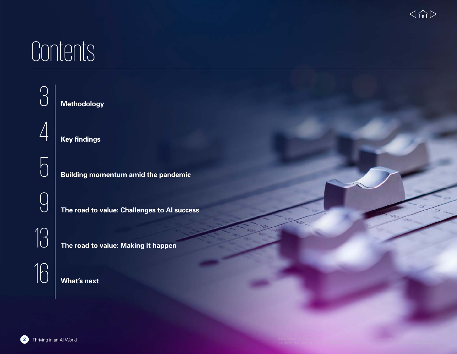## Contents

| $\cap$                                   | <b>Methodology</b>                          |
|------------------------------------------|---------------------------------------------|
|                                          | <b>Key findings</b>                         |
| $\sqrt{ }$                               | <b>Building momentum amid the pandemic</b>  |
|                                          | The road to value: Challenges to Al success |
| $\overline{\left \left[ \right]}\right $ | The road to value: Making it happen         |
| 16                                       | <b>What's next</b>                          |
|                                          |                                             |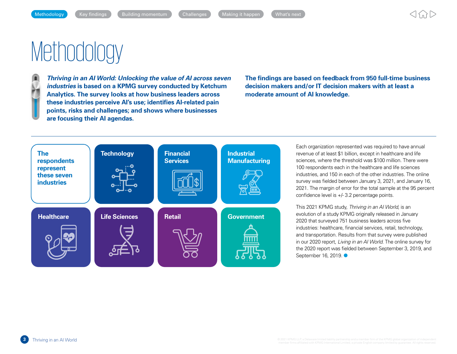## <span id="page-3-0"></span>**Methodology**



*Thriving in an AI World: Unlocking the value of AI across seven industries* **is based on a KPMG survey conducted by Ketchum Analytics. The survey looks at how business leaders across these industries perceive AI's use; identifies AI-related pain points, risks and challenges; and shows where businesses are focusing their AI agendas.**

**The findings are based on feedback from 950 full-time business decision makers and/or IT decision makers with at least a moderate amount of AI knowledge.**



Each organization represented was required to have annual revenue of at least \$1 billion, except in healthcare and life sciences, where the threshold was \$100 million. There were 100 respondents each in the healthcare and life sciences industries, and 150 in each of the other industries. The online survey was fielded between January 3, 2021, and January 16, 2021. The margin of error for the total sample at the 95 percent confidence level is +/- 3.2 percentage points.

This 2021 KPMG study, *Thriving in an AI World*, is an evolution of a study KPMG originally released in January 2020 that surveyed 751 business leaders across five industries: healthcare, financial services, retail, technology, and transportation. Results from that survey were published in our 2020 report, *Living in an AI World*. The online survey for the 2020 report was fielded between September 3, 2019, and September 16, 2019. ●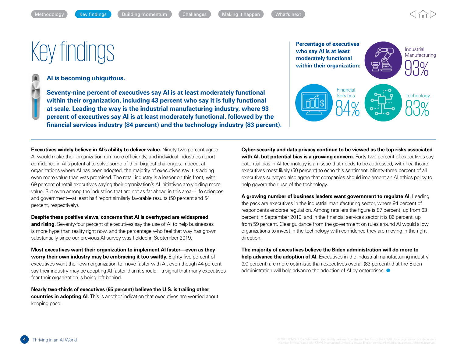## <span id="page-4-0"></span>**Percentage of executives**<br>
We say Al is at least<br>
moderately functional<br>
Percentage of executives<br>
who say Al is at least<br>
moderately functional

### **AI is becoming ubiquitous.**

*<b>Seventy-nine percent of executives say AI is at least moderately functional* **within their organization, including 43 percent who say it is fully functional at scale. Leading the way is the industrial manufacturing industry, where 93 percent of executives say AI is at least moderately functional, followed by the financial services industry (84 percent) and the technology industry (83 percent).**



**Executives widely believe in AI's ability to deliver value.** Ninety-two percent agree AI would make their organization run more efficiently, and individual industries report confidence in AI's potential to solve some of their biggest challenges. Indeed, at organizations where AI has been adopted, the majority of executives say it is adding even more value than was promised. The retail industry is a leader on this front, with 69 percent of retail executives saying their organization's AI initiatives are yielding more value. But even among the industries that are not as far ahead in this area—life sciences and government—at least half report similarly favorable results (50 percent and 54 percent, respectively).

**Despite these positive views, concerns that AI is overhyped are widespread**  and rising. Seventy-four percent of executives say the use of AI to help businesses is more hype than reality right now, and the percentage who feel that way has grown substantially since our previous AI survey was fielded in September 2019.

**Most executives want their organization to implement AI faster—even as they worry their own industry may be embracing it too swiftly.** Eighty-five percent of executives want their own organization to move faster with AI, even though 44 percent say their industry may be adopting AI faster than it should—a signal that many executives fear their organization is being left behind.

**Nearly two-thirds of executives (65 percent) believe the U.S. is trailing other countries in adopting AI.** This is another indication that executives are worried about keeping pace.

**Cyber-security and data privacy continue to be viewed as the top risks associated with AI, but potential bias is a growing concern.** Forty-two percent of executives say potential bias in AI technology is an issue that needs to be addressed, with healthcare executives most likely (50 percent) to echo this sentiment. Ninety-three percent of all executives surveyed also agree that companies should implement an AI ethics policy to help govern their use of the technology.

**A growing number of business leaders want government to regulate AI.** Leading the pack are executives in the industrial manufacturing sector, where 94 percent of respondents endorse regulation. Among retailers the figure is 87 percent, up from 63 percent in September 2019, and in the financial services sector it is 86 percent, up from 59 percent. Clear guidance from the government on rules around AI would allow organizations to invest in the technology with confidence they are moving in the right direction.

**The majority of executives believe the Biden administration will do more to help advance the adoption of AI.** Executives in the industrial manufacturing industry (90 percent) are more optimistic than executives overall (83 percent) that the Biden administration will help advance the adoption of AI by enterprises.  $\bullet$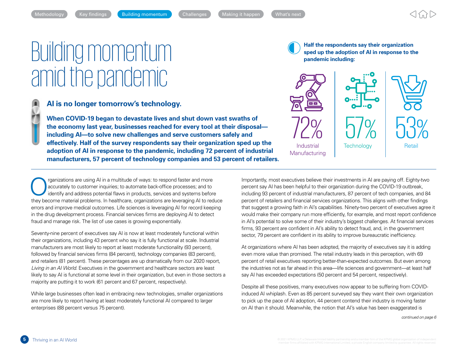## Building momentum amid the pandemic



 **When COVID-19 began to devastate lives and shut down vast swaths of the economy last year, businesses reached for every tool at their disposal including AI—to solve new challenges and serve customers safely and effectively. Half of the survey respondents say their organization sped up the adoption of AI in response to the pandemic, including 72 percent of industrial manufacturers, 57 percent of technology companies and 53 percent of retailers.**

<span id="page-5-0"></span>[Methodology](#page-3-0) [Key findings](#page-4-0) **Communication [Challenges](#page-9-0) Making it happen** What's next

In the multipular constant of ways: to respond faster and more accurately to customer inquiries; to automate back-office processes; and to identify and address potential flaws in products, services and systems before the v accurately to customer inquiries; to automate back-office processes; and to they become material problems. In healthcare, organizations are leveraging AI to reduce errors and improve medical outcomes. Life sciences is leveraging AI for record keeping in the drug development process. Financial services firms are deploying AI to detect fraud and manage risk. The list of use cases is growing exponentially.

Seventy-nine percent of executives say AI is now at least moderately functional within their organizations, including 43 percent who say it is fully functional at scale. Industrial manufacturers are most likely to report at least moderate functionality (93 percent), followed by financial services firms (84 percent), technology companies (83 percent), and retailers (81 percent). These percentages are up dramatically from our 2020 report, *Living in an AI World*. Executives in the government and healthcare sectors are least likely to say AI is functional at some level in their organization, but even in those sectors a majority are putting it to work (61 percent and 67 percent, respectively).

While large businesses often lead in embracing new technologies, smaller organizations are more likely to report having at least moderately functional AI compared to larger enterprises (88 percent versus 75 percent).

**Half the respondents say their organization sped up the adoption of AI in response to the pandemic including:**



Importantly, most executives believe their investments in AI are paying off. Eighty-two percent say AI has been helpful to their organization during the COVID-19 outbreak, including 93 percent of industrial manufacturers, 87 percent of tech companies, and 84 percent of retailers and financial services organizations. This aligns with other findings that suggest a growing faith in AI's capabilities. Ninety-two percent of executives agree it would make their company run more efficiently, for example, and most report confidence in AI's potential to solve some of their industry's biggest challenges. At financial services firms, 93 percent are confident in AI's ability to detect fraud, and, in the government sector, 79 percent are confident in its ability to improve bureaucratic inefficiency.

At organizations where AI has been adopted, the majority of executives say it is adding even more value than promised. The retail industry leads in this perception, with 69 percent of retail executives reporting better-than-expected outcomes. But even among the industries not as far ahead in this area—life sciences and government—at least half say AI has exceeded expectations (50 percent and 54 percent, respectively).

Despite all these positives, many executives now appear to be suffering from COVIDinduced AI whiplash. Even as 85 percent surveyed say they want their own organization to pick up the pace of AI adoption, 44 percent contend their industry is moving faster on AI than it should. Meanwhile, the notion that AI's value has been exaggerated is

*continued on page 6*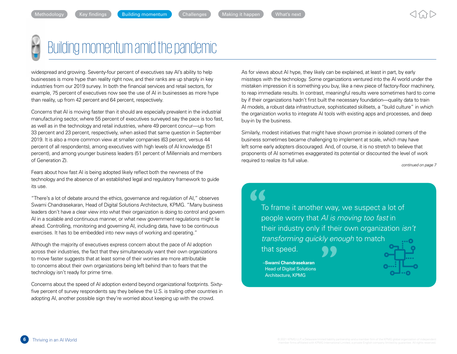

## Building momentum amid the pandemic

widespread and growing. Seventy-four percent of executives say AI's ability to help businesses is more hype than reality right now, and their ranks are up sharply in key industries from our 2019 survey. In both the financial services and retail sectors, for example, 75 percent of executives now see the use of AI in businesses as more hype than reality, up from 42 percent and 64 percent, respectively.

Concerns that AI is moving faster than it should are especially prevalent in the industrial manufacturing sector, where 55 percent of executives surveyed say the pace is too fast, as well as in the technology and retail industries, where 49 percent concur—up from 33 percent and 23 percent, respectively, when asked that same question in September 2019. It is also a more common view at smaller companies (63 percent, versus 44 percent of all respondents), among executives with high levels of AI knowledge (51 percent), and among younger business leaders (51 percent of Millennials and members of Generation Z).

Fears about how fast AI is being adopted likely reflect both the newness of the technology and the absence of an established legal and regulatory framework to guide its use.

"There's a lot of debate around the ethics, governance and regulation of AI," observes Swami Chandrasekaran, Head of Digital Solutions Architecture, KPMG. "Many business leaders don't have a clear view into what their organization is doing to control and govern AI in a scalable and continuous manner, or what new government regulations might lie ahead. Controlling, monitoring and governing AI, including data, have to be continuous exercises. It has to be embedded into new ways of working and operating."

Although the majority of executives express concern about the pace of AI adoption across their industries, the fact that they simultaneously want their own organizations to move faster suggests that at least some of their worries are more attributable to concerns about their own organizations being left behind than to fears that the technology isn't ready for prime time.

Concerns about the speed of AI adoption extend beyond organizational footprints. Sixtyfive percent of survey respondents say they believe the U.S. is trailing other countries in adopting AI, another possible sign they're worried about keeping up with the crowd.

As for views about AI hype, they likely can be explained, at least in part, by early missteps with the technology. Some organizations ventured into the AI world under the mistaken impression it is something you buy, like a new piece of factory-floor machinery, to reap immediate results. In contrast, meaningful results were sometimes hard to come by if their organizations hadn't first built the necessary foundation—quality data to train AI models, a robust data infrastructure, sophisticated skillsets, a "build culture" in which the organization works to integrate AI tools with existing apps and processes, and deep buy-in by the business.

Similarly, modest initiatives that might have shown promise in isolated corners of the business sometimes became challenging to implement at scale, which may have left some early adopters discouraged. And, of course, it is no stretch to believe that proponents of AI sometimes exaggerated its potential or discounted the level of work required to realize its full value.

*continued on page 7*

To frame it another way, we suspect a lot of people worry that *AI is moving too fast* in their industry only if their own organization *isn't transforming quickly enough* to match

that speed.<br>
-Swami Chandrasekaran<br>
Head of Digital Solutions<br>
Architecture, KPMG –**Swami Chandrasekaran Head of Digital Solutions** Architecture, KPMG

 $\blacktriangle$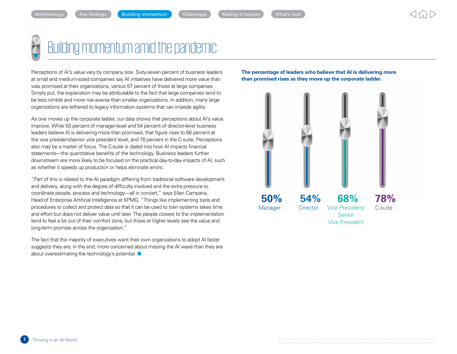## Building momentum amid the pandemic

Perceptions of AI's value vary by company size. Sixty-seven percent of business leaders at small and medium-sized companies say AI initiatives have delivered more value than was promised at their organizations, versus 57 percent of those at large companies. Simply put, the explanation may be attributable to the fact that large companies tend to be less nimble and more risk-averse than smaller organizations. In addition, many large organizations are tethered to legacy information systems that can impede agility.

As one moves up the corporate ladder, our data shows that perceptions about AI's value improve. While 50 percent of manager-level and 54 percent of director-level business leaders believe AI is delivering more than promised, that figure rises to 68 percent at the vice president/senior vice president level, and 78 percent in the C-suite. Perceptions also may be a matter of focus. The C-suite is dialed into how AI impacts financial statements—the quantitative benefits of the technology. Business leaders further downstream are more likely to be focused on the practical day-to-day impacts of AI, such as whether it speeds up production or helps eliminate errors.

"Part of this is related to the AI paradigm differing from traditional software development and delivery, along with the degree of difficulty involved and the extra pressure to coordinate people, process and technology—all in concert," says Ellen Campana, Head of Enterprise Artificial Intelligence at KPMG. "Things like implementing tools and procedures to collect and protect data so that it can be used to train systems takes time and effort but does not deliver value until later. The people closest to the implementation tend to feel a bit out of their comfort zone, but those at higher levels see the value and long-term promise across the organization."

The fact that the majority of executives want their own organizations to adopt AI faster suggests they are, in the end, more concerned about missing the AI wave than they are about overestimating the technology's potential.  $\bullet$ 

**The percentage of leaders who believe that AI is delivering more than promised rises as they move up the corporate ladder.**

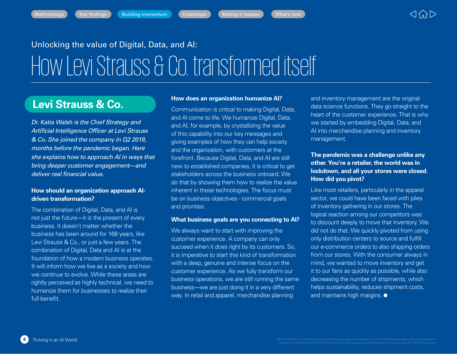$$
\mathsf{In} \quad \bullet \quad \mathsf{What's} \ \mathsf{In}
$$

## Unlocking the value of Digital, Data, and AI:

## How Levi Strauss & Co. transformed itself

## **Levi Strauss & Co.**

*Dr. Katia Walsh is the Chief Strategy and Artificial Intelligence Officer at Levi Strauss & Co. She joined the company in Q2 2019, months before the pandemic began. Here she explains how to approach AI in ways that bring deeper customer engagement—and deliver real financial value.*

### **How should an organization approach AIdriven transformation?**

The combination of Digital, Data, and AI is not just the future—it is the present of every business. It doesn't matter whether the business has been around for 168 years, like Levi Strauss & Co., or just a few years. The combination of Digital, Data and AI is at the foundation of how a modern business operates. It will inform how we live as a society and how we continue to evolve. While these areas are rightly perceived as highly technical, we need to humanize them for businesses to realize their full benefit.

### **How does an organization humanize AI?**

Communication is critical to making Digital, Data, and AI come to life. We humanize Digital, Data, and AI, for example, by crystallizing the value of this capability into our key messages and giving examples of how they can help society and the organization, with customers at the forefront. Because Digital, Data, and AI are still new to established companies, it is critical to get stakeholders across the business onboard. We do that by showing them how to realize the value inherent in these technologies. The focus must be on business objectives - commercial goals and priorities.

### **What business goals are you connecting to AI?**

We always want to start with improving the customer experience. A company can only succeed when it does right by its customers. So, it is imperative to start this kind of transformation with a deep, genuine and intense focus on the customer experience. As we fully transform our business operations, we are still running the same business—we are just doing it in a very different way. In retail and apparel, merchandise planning

and inventory management are the original data science functions. They go straight to the heart of the customer experience. That is why we started by embedding Digital, Data, and AI into merchandise planning and inventory management.

### **The pandemic was a challenge unlike any other. You're a retailer, the world was in lockdown, and all your stores were closed. How did you pivot?**

Like most retailers, particularly in the apparel sector, we could have been faced with piles of inventory gathering in our stores. The logical reaction among our competitors was to discount deeply to move that inventory. We did not do that. We quickly pivoted from using only distribution centers to source and fulfill our e-commerce orders to also shipping orders from our stores. With the consumer always in mind, we wanted to move inventory and get it to our fans as quickly as possible, while also decreasing the number of shipments, which helps sustainability, reduces shipment costs, and maintains high margins.  $\bullet$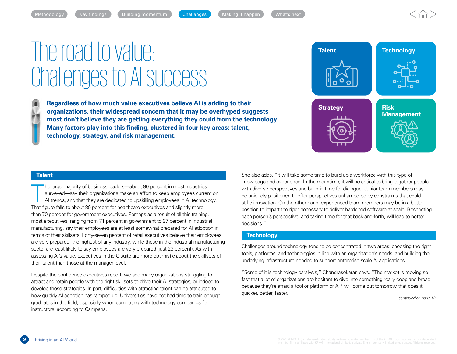$$
: \mathsf{happen}
$$

## <span id="page-9-0"></span>The road to value: Challenges to AI success

**1** Regardless of how much value executives believe AI is adding to their **organizations, their widespread concern that it may be overhyped suggests most don't believe they are getting everything they could from the technology. Many factors play into this finding, clustered in four key areas: talent, technology, strategy, and risk management.**



### **Talent**

The large majority of business leaders—about 90 percent in most industries<br>surveyed—say their organizations make an effort to keep employees currer<br>Al trends, and that they are dedicated to upskilling employees in Al techn surveyed—say their organizations make an effort to keep employees current on AI trends, and that they are dedicated to upskilling employees in AI technology. That figure falls to about 80 percent for healthcare executives and slightly more than 70 percent for government executives. Perhaps as a result of all this training, most executives, ranging from 71 percent in government to 97 percent in industrial manufacturing, say their employees are at least somewhat prepared for AI adoption in terms of their skillsets. Forty-seven percent of retail executives believe their employees are very prepared, the highest of any industry, while those in the industrial manufacturing sector are least likely to say employees are very prepared (just 23 percent). As with assessing AI's value, executives in the C-suite are more optimistic about the skillsets of their talent than those at the manager level.

Despite the confidence executives report, we see many organizations struggling to attract and retain people with the right skillsets to drive their AI strategies, or indeed to develop those strategies. In part, difficulties with attracting talent can be attributed to how quickly AI adoption has ramped up. Universities have not had time to train enough graduates in the field, especially when competing with technology companies for instructors, according to Campana.

She also adds, "It will take some time to build up a workforce with this type of knowledge and experience. In the meantime, it will be critical to bring together people with diverse perspectives and build in time for dialogue. Junior team members may be uniquely positioned to offer perspectives unhampered by constraints that could stifle innovation. On the other hand, experienced team members may be in a better position to impart the rigor necessary to deliver hardened software at scale. Respecting each person's perspective, and taking time for that back-and-forth, will lead to better decisions."

### **Technology**

Challenges around technology tend to be concentrated in two areas: choosing the right tools, platforms, and technologies in line with an organization's needs; and building the underlying infrastructure needed to support enterprise-scale AI applications.

"Some of it is technology paralysis," Chandrasekaran says. "The market is moving so fast that a lot of organizations are hesitant to dive into something really deep and broad because they're afraid a tool or platform or API will come out tomorrow that does it quicker, better, faster."

*continued on page 10*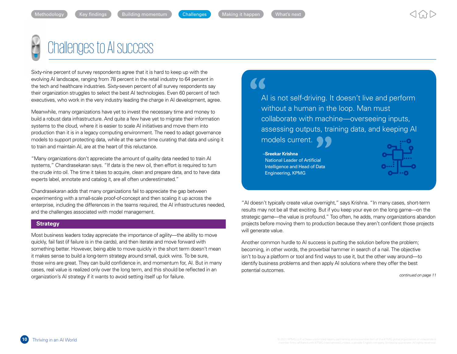

## Challenges to AI success

Sixty-nine percent of survey respondents agree that it is hard to keep up with the evolving AI landscape, ranging from 78 percent in the retail industry to 64 percent in the tech and healthcare industries. Sixty-seven percent of all survey respondents say their organization struggles to select the best AI technologies. Even 60 percent of tech executives, who work in the very industry leading the charge in AI development, agree.

Meanwhile, many organizations have yet to invest the necessary time and money to build a robust data infrastructure. And quite a few have yet to migrate their information systems to the cloud, where it is easier to scale AI initiatives and move them into production than it is in a legacy computing environment. The need to adapt governance models to support protecting data, while at the same time curating that data and using it to train and maintain AI, are at the heart of this reluctance.

"Many organizations don't appreciate the amount of quality data needed to train AI systems," Chandrasekaran says. "If data is the new oil, then effort is required to turn the crude into oil. The time it takes to acquire, clean and prepare data, and to have data experts label, annotate and catalog it, are all often underestimated."

Chandrasekaran adds that many organizations fail to appreciate the gap between experimenting with a small-scale proof-of-concept and then scaling it up across the enterprise, including the differences in the teams required, the AI infrastructures needed, and the challenges associated with model management.

### **Strategy**

Most business leaders today appreciate the importance of agility—the ability to move quickly, fail fast (if failure is in the cards), and then iterate and move forward with something better. However, being able to move quickly in the short term doesn't mean it makes sense to build a long-term strategy around small, quick wins. To be sure, those wins are great. They can build confidence in, and momentum for, AI. But in many cases, real value is realized only over the long term, and this should be reflected in an organization's AI strategy if it wants to avoid setting itself up for failure.

## "

AI is not self-driving. It doesn't live and perform without a human in the loop. Man must collaborate with machine—overseeing inputs, assessing outputs, training data, and keeping AI

models current.

–**Sreekar Krishna** National Leader of Artificial Intelligence and Head of Data Engineering, KPMG



"AI doesn't typically create value overnight," says Krishna. "In many cases, short-term results may not be all that exciting. But if you keep your eye on the long game—on the strategic game—the value is profound." Too often, he adds, many organizations abandon projects before moving them to production because they aren't confident those projects will generate value.

Another common hurdle to AI success is putting the solution before the problem; becoming, in other words, the proverbial hammer in search of a nail. The objective isn't to buy a platform or tool and find ways to use it, but the other way around—to identify business problems and then apply AI solutions where they offer the best potential outcomes.

*continued on page 11*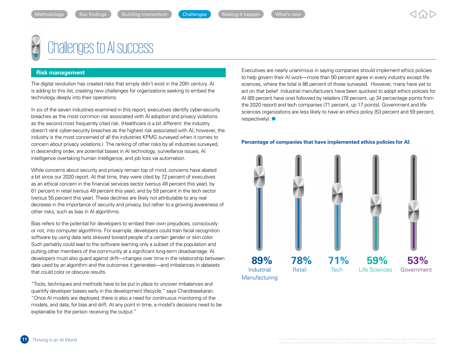

## Challenges to AI success

### **Risk management**

The digital revolution has created risks that simply didn't exist in the 20th century. AI is adding to this list, creating new challenges for organizations seeking to embed the technology deeply into their operations.

In six of the seven industries examined in this report, executives identify cyber-security breaches as the most common risk associated with AI adoption and privacy violations as the second most frequently cited risk. (Healthcare is a bit different: the industry doesn't rank cyber-security breaches as the highest risk associated with AI; however, the industry is the most concerned of all the industries KPMG surveyed when it comes to concern about privacy violations.) The ranking of other risks by all industries surveyed, in descending order, are potential biases in AI technology, surveillance issues, AI intelligence overtaking human intelligence, and job loss via automation.

While concerns about security and privacy remain top of mind, concerns have abated a bit since our 2020 report. At that time, they were cited by 72 percent of executives as an ethical concern in the financial services sector (versus 49 percent this year), by 61 percent in retail (versus 49 percent this year), and by 59 percent in the tech sector (versus 55 percent this year). These declines are likely not attributable to any real decrease in the importance of security and privacy, but rather to a growing awareness of other risks, such as bias in AI algorithms.

Bias refers to the potential for developers to embed their own prejudices, consciously or not, into computer algorithms. For example, developers could train facial recognition software by using data sets skewed toward people of a certain gender or skin color. Such partiality could lead to the software learning only a subset of the population and putting other members of the community at a significant long-term disadvantage. AI developers must also guard against drift—changes over time in the relationship between data used by an algorithm and the outcomes it generates—and imbalances in datasets that could color or obscure results.

"Tools, techniques and methods have to be put in place to uncover imbalances and quantify developer biases early in the development lifecycle," says Chandrasekaran. "Once AI models are deployed, there is also a need for continuous monitoring of the models, and data, for bias and drift. At any point in time, a model's decisions need to be explainable for the person receiving the output."

Executives are nearly unanimous in saying companies should implement ethics policies to help govern their AI work—more than 90 percent agree in every industry except life sciences, where the total is 86 percent of those surveyed. However, many have yet to act on that belief. Industrial manufacturers have been quickest to adopt ethics policies for AI (89 percent have one) followed by retailers (78 percent, up 34 percentage points from the 2020 report) and tech companies (71 percent, up 17 points). Government and life sciences organizations are less likely to have an ethics policy (53 percent and 59 percent,  $respective$ <sup> $\bullet$ </sup>

#### **Percentage of companies that have implemented ethics policies for AI:**

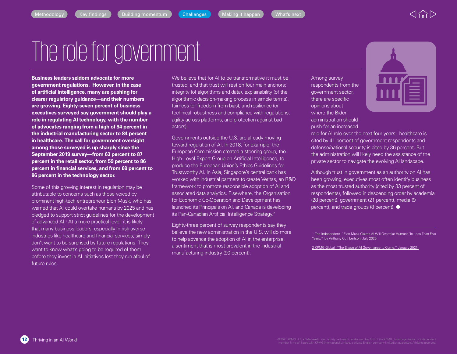## The role for government

**Business leaders seldom advocate for more government regulations. However, in the case of artificial intelligence, many are pushing for clearer regulatory guidance—and their numbers are growing. Eighty-seven percent of business executives surveyed say government should play a role in regulating AI technology, with the number of advocates ranging from a high of 94 percent in the industrial manufacturing sector to 84 percent in healthcare. The call for government oversight among those surveyed is up sharply since the September 2019 survey—from 63 percent to 87 percent in the retail sector, from 59 percent to 86 percent in financial services, and from 69 percent to 86 percent in the technology sector.**

Some of this growing interest in regulation may be attributable to concerns such as those voiced by prominent high-tech entrepreneur Elon Musk, who has warned that AI could overtake humans by 2025 and has pledged to support strict guidelines for the development of advanced AI.<sup>1</sup> At a more practical level, it is likely that many business leaders, especially in risk-averse industries like healthcare and financial services, simply don't want to be surprised by future regulations. They want to know what's going to be required of them before they invest in AI initiatives lest they run afoul of future rules.

We believe that for AI to be transformative it must be trusted, and that trust will rest on four main anchors: integrity (of algorithms and data), explainability (of the algorithmic decision-making process in simple terms), fairness (or freedom from bias), and resilience (or technical robustness and compliance with regulations, agility across platforms, and protection against bad actors).

Governments outside the U.S. are already moving toward regulation of AI. In 2018, for example, the European Commission created a steering group, the High-Level Expert Group on Artificial Intelligence, to produce the European Union's Ethics Guidelines for Trustworthy AI. In Asia, Singapore's central bank has worked with industrial partners to create Veritas, an R&D framework to promote responsible adoption of AI and associated data analytics. Elsewhere, the Organisation for Economic Co-Operation and Development has launched its Principals on AI, and Canada is developing its Pan-Canadian Artificial Intelligence Strategy.<sup>2</sup>

Eighty-three percent of survey respondents say they believe the new administration in the U.S. will do more to help advance the adoption of AI in the enterprise, a sentiment that is most prevalent in the industrial manufacturing industry (90 percent).

Among survey respondents from the government sector, there are specific opinions about where the Biden administration should push for an increased



role for AI role over the next four years: healthcare is cited by 41 percent of government respondents and defense/national security is cited by 36 percent. But the administration will likely need the assistance of the private sector to navigate the evolving AI landscape.

Although trust in government as an authority on AI has been growing, executives most often identify business as the most trusted authority (cited by 33 percent of respondents), followed in descending order by academia (28 percent), government (21 percent), media (9 percent), and trade groups (8 percent).  $\bullet$ 

1 The Independent, "Elon Musk Claims AI Will Overtake Humans 'In Less Than Five Years,'" by Anthony Cuthbertson, July 2020.

[2 KPMG Global, "The Shape of AI Governance to Come," January 2021.](https://home.kpmg/xx/en/home/insights/2020/12/the-shape-of-ai-governance-to-come.html)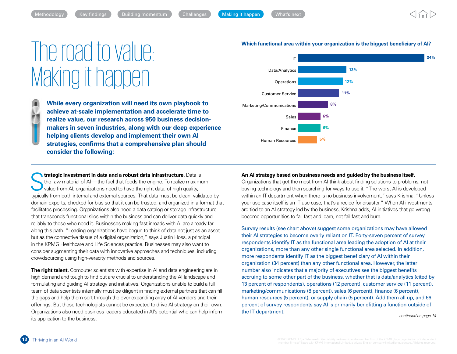## <span id="page-13-0"></span>The road to value: Making it happen

 **While every organization will need its own playbook to achieve at-scale implementation and accelerate time to realize value, our research across 950 business decisionmakers in seven industries, along with our deep experience helping clients develop and implement their own AI strategies, confirms that a comprehensive plan should consider the following:**

**Strategic investment in data and a robust data infrastructure.** Data is<br>the raw material of Al—the fuel that feeds the engine. To realize maximum<br>value from AI, organizations need to have the right data, of high quality,<br> the raw material of AI- the fuel that feeds the engine. To realize maximum value from AI, organizations need to have the right data, of high quality, typically from both internal and external sources. That data must be clean, validated by domain experts, checked for bias so that it can be trusted, and organized in a format that facilitates processing. Organizations also need a data catalog or storage infrastructure that transcends functional silos within the business and can deliver data quickly and reliably to those who need it. Businesses making fast inroads with AI are already far along this path. "Leading organizations have begun to think of data not just as an asset but as the connective tissue of a digital organization," says Justin Hoss, a principal in the KPMG Healthcare and Life Sciences practice. Businesses may also want to consider augmenting their data with innovative approaches and techniques, including crowdsourcing using high-veracity methods and sources.

**The right talent.** Computer scientists with expertise in AI and data engineering are in high demand and tough to find but are crucial to understanding the AI landscape and formulating and guiding AI strategy and initiatives. Organizations unable to build a full team of data scientists internally must be diligent in finding external partners that can fill the gaps and help them sort through the ever-expanding array of AI vendors and their offerings. But these technologists cannot be expected to drive AI strategy on their own. Organizations also need business leaders educated in AI's potential who can help inform its application to the business. *continued on page 14*



#### **Which functional area within your organization is the biggest beneficiary of AI?**

#### **An AI strategy based on business needs and guided by the business itself.**

Organizations that get the most from AI think about finding solutions to problems, not buying technology and then searching for ways to use it. "The worst AI is developed within an IT department when there is no business involvement," says Krishna. "Unless your use case itself is an IT use case, that's a recipe for disaster." When AI investments are tied to an AI strategy led by the business, Krishna adds, AI initiatives that go wrong become opportunities to fail fast and learn, not fail fast and burn.

Survey results (see chart above) suggest some organizations may have allowed their AI strategies to become overly reliant on IT. Forty-seven percent of survey respondents identify IT as the functional area leading the adoption of AI at their organizations, more than any other single functional area selected. In addition, more respondents identify IT as the biggest beneficiary of AI within their organization (34 percent) than any other functional area. However, the latter number also indicates that a majority of executives see the biggest benefits accruing to some other part of the business, whether that is data/analytics (cited by 13 percent of respondents), operations (12 percent), customer service (11 percent), marketing/communications (8 percent), sales (6 percent), finance (6 percent), human resources (5 percent), or supply chain (5 percent). Add them all up, and 66 percent of survey respondents say AI is primarily benefitting a function outside of the IT department.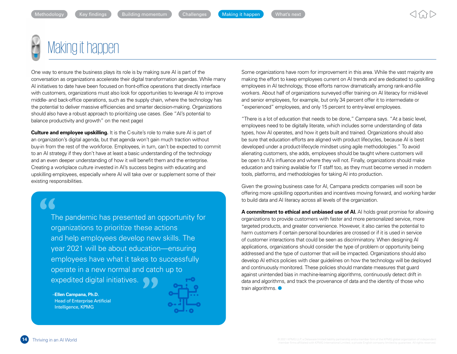

One way to ensure the business plays its role is by making sure AI is part of the conversation as organizations accelerate their digital transformation agendas. While many AI initiatives to date have been focused on front-office operations that directly interface with customers, organizations must also look for opportunities to leverage AI to improve middle- and back-office operations, such as the supply chain, where the technology has the potential to deliver massive efficiencies and smarter decision-making. Organizations should also have a robust approach to prioritizing use cases. (See "AI's potential to balance productivity and growth" on the next page)

**Culture and employee upskilling.** It is the C-suite's role to make sure AI is part of an organization's digital agenda, but that agenda won't gain much traction without buy-in from the rest of the workforce. Employees, in turn, can't be expected to commit to an AI strategy if they don't have at least a basic understanding of the technology and an even deeper understanding of how it will benefit them and the enterprise. Creating a workplace culture invested in AI's success begins with educating and upskilling employees, especially where AI will take over or supplement some of their existing responsibilities.

The pandemic has presented an opportunity for organizations to prioritize these actions and help employees develop new skills. The year 2021 will be about education—ensuring employees have what it takes to successfully operate in a new normal and catch up to expedited digital initiatives.  $\begin{array}{c} \begin{array}{c} \text{1} \\ \text{1} \\ \text{0} \\ \text{0} \\ \text{0} \end{array} \end{array}$ 

–**Ellen Campana, Ph.D.** Head of Enterprise Artificial Intelligence, KPMG



Some organizations have room for improvement in this area. While the vast majority are making the effort to keep employees current on AI trends and are dedicated to upskilling employees in AI technology, those efforts narrow dramatically among rank-and-file workers. About half of organizations surveyed offer training on AI literacy for mid-level and senior employees, for example, but only 34 percent offer it to intermediate or "experienced" employees, and only 15 percent to entry-level employees.

"There is a lot of education that needs to be done," Campana says. "At a basic level, employees need to be digitally literate, which includes some understanding of data types, how AI operates, and how it gets built and trained. Organizations should also be sure that education efforts are aligned with product lifecycles, because AI is best developed under a product-lifecycle mindset using agile methodologies." To avoid alienating customers, she adds, employees should be taught where customers will be open to AI's influence and where they will not. Finally, organizations should make education and training available for IT staff too, as they must become versed in modern tools, platforms, and methodologies for taking AI into production.

Given the growing business case for AI, Campana predicts companies will soon be offering more upskilling opportunities and incentives moving forward, and working harder to build data and AI literacy across all levels of the organization.

**A commitment to ethical and unbiased use of AI.** AI holds great promise for allowing organizations to provide customers with faster and more personalized service, more targeted products, and greater convenience. However, it also carries the potential to harm customers if certain personal boundaries are crossed or if it is used in service of customer interactions that could be seen as discriminatory. When designing AI applications, organizations should consider the type of problem or opportunity being addressed and the type of customer that will be impacted. Organizations should also develop AI ethics policies with clear guidelines on how the technology will be deployed and continuously monitored. These policies should mandate measures that guard against unintended bias in machine-learning algorithms, continuously detect drift in data and algorithms, and track the provenance of data and the identity of those who train algorithms.  $\bullet$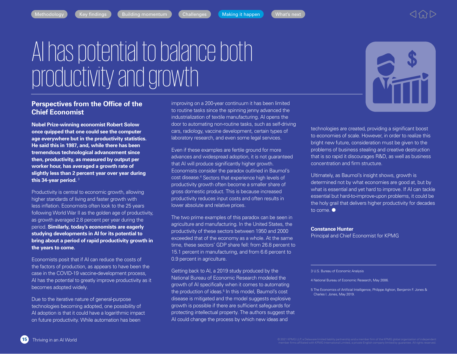## AI has potential to balance both productivity and growth

### **Perspectives from the Office of the Chief Economist**

**Nobel Prize-winning economist Robert Solow once quipped that one could see the computer age everywhere but in the productivity statistics. He said this in 1987, and, while there has been tremendous technological advancement since then, productivity, as measured by output per worker hour, has averaged a growth rate of slightly less than 2 percent year over year during this 34-year period.** <sup>3</sup>

Productivity is central to economic growth, allowing higher standards of living and faster growth with less inflation. Economists often look to the 25 years following World War II as the golden age of productivity, as growth averaged 2.8 percent per year during the period. **Similarly, today's economists are eagerly studying developments in AI for its potential to bring about a period of rapid productivity growth in the years to come.**

Economists posit that if AI can reduce the costs of the factors of production, as appears to have been the case in the COVID-19 vaccine-development process, AI has the potential to greatly improve productivity as it becomes adopted widely.

Due to the iterative nature of general-purpose technologies becoming adopted, one possibility of AI adoption is that it could have a logarithmic impact on future productivity. While automation has been

improving on a 200-year continuum it has been limited to routine tasks since the spinning jenny advanced the industrialization of textile manufacturing. AI opens the door to automating non-routine tasks, such as self-driving cars, radiology, vaccine development, certain types of laboratory research, and even some legal services.

Even if these examples are fertile ground for more advances and widespread adoption, it is not guaranteed that AI will produce significantly higher growth. Economists consider the paradox outlined in Baumol's cost disease.<sup>4</sup> Sectors that experience high levels of productivity growth often become a smaller share of gross domestic product. This is because increased productivity reduces input costs and often results in lower absolute and relative prices.

The two prime examples of this paradox can be seen in agriculture and manufacturing. In the United States, the productivity of these sectors between 1950 and 2000 exceeded that of the economy as a whole. At the same time, these sectors' GDP share fell: from 26.8 percent to 15.1 percent in manufacturing, and from 6.6 percent to 0.9 percent in agriculture.

Getting back to AI, a 2019 study produced by the National Bureau of Economic Research modeled the growth of AI specifically when it comes to automating the production of ideas.<sup>5</sup> In this model, Baumol's cost disease is mitigated and the model suggests explosive growth is possible if there are sufficient safeguards for protecting intellectual property. The authors suggest that AI could change the process by which new ideas and



technologies are created, providing a significant boost to economies of scale. However, in order to realize this bright new future, consideration must be given to the problems of business stealing and creative destruction that is so rapid it discourages R&D, as well as business concentration and firm structure.

Ultimately, as Baumol's insight shows, growth is determined not by what economies are good at, but by what is essential and yet hard to improve. If AI can tackle essential but hard-to-improve-upon problems, it could be the holy grail that delivers higher productivity for decades to come.  $\bullet$ 

**Constance Hunter**

Principal and Chief Economist for KPMG

#### 3 U.S. Bureau of Economic Analysis

4 National Bureau of Economic Research, May 2006.

5 The Economics of Artificial Intelligence, Philippe Aghion, Benjamin F. Jones & Charles I. Jones, May 2019.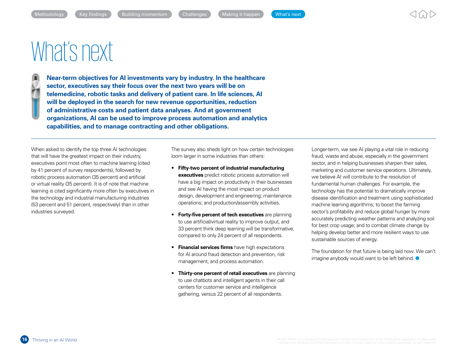## <span id="page-16-0"></span>What's next

**1** Near-term objectives for AI investments vary by industry. In the healthcare **sector, executives say their focus over the next two years will be on telemedicine, robotic tasks and delivery of patient care. In life sciences, AI will be deployed in the search for new revenue opportunities, reduction of administrative costs and patient data analyses. And at government organizations, AI can be used to improve process automation and analytics capabilities, and to manage contracting and other obligations.**

When asked to identify the top three AI technologies that will have the greatest impact on their industry, executives point most often to machine learning (cited by 41 percent of survey respondents), followed by robotic process automation (35 percent) and artificial or virtual reality (35 percent). It is of note that machine learning is cited significantly more often by executives in the technology and industrial manufacturing industries (53 percent and 51 percent, respectively) than in other industries surveyed.

The survey also sheds light on how certain technologies loom larger in some industries than others:

- **Fifty-two percent of industrial manufacturing executives** predict robotic process automation will have a big impact on productivity in their businesses and see AI having the most impact on product design, development and engineering; maintenance operations; and production/assembly activities.
- **Forty-five percent of tech executives** are planning to use artificial/virtual reality to improve output, and 33 percent think deep learning will be transformative, compared to only 24 percent of all respondents.
- **Financial services firms** have high expectations for AI around fraud detection and prevention, risk management, and process automation.
- **Thirty-one percent of retail executives** are planning to use chatbots and intelligent agents in their call centers for customer service and intelligence gathering, versus 22 percent of all respondents.

Longer-term, we see AI playing a vital role in reducing fraud, waste and abuse, especially in the government sector, and in helping businesses sharpen their sales, marketing and customer service operations. Ultimately, we believe AI will contribute to the resolution of fundamental human challenges. For example, the technology has the potential to dramatically improve disease identification and treatment using sophisticated machine learning algorithms; to boost the farming sector's profitability and reduce global hunger by more accurately predicting weather patterns and analyzing soil for best crop usage; and to combat climate change by helping develop better and more resilient ways to use sustainable sources of energy.

The foundation for that future is being laid now. We can't imagine anybody would want to be left behind.  $\bullet$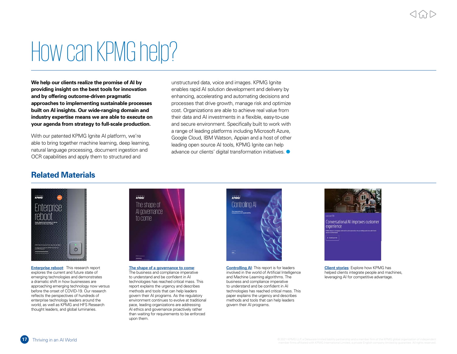## How can KPMG help?

**We help our clients realize the promise of AI by providing insight on the best tools for innovation and by offering outcome-driven pragmatic approaches to implementing sustainable processes built on AI insights. Our wide-ranging domain and industry expertise means we are able to execute on your agenda from strategy to full-scale production.** 

With our patented KPMG Ignite AI platform, we're able to bring together machine learning, deep learning, natural language processing, document ingestion and OCR capabilities and apply them to structured and

unstructured data, voice and images. KPMG Ignite enables rapid AI solution development and delivery by enhancing, accelerating and automating decisions and processes that drive growth, manage risk and optimize cost. Organizations are able to achieve real value from their data and AI investments in a flexible, easy-to-use and secure environment. Specifically built to work with a range of leading platforms including Microsoft Azure, Google Cloud, IBM Watson, Appian and a host of other leading open source AI tools, KPMG Ignite can help advance our clients' digital transformation initiatives.  $\bullet$ 

## **Related Materials**



**Enterprise reboot**: This research report explores the current and future state of emerging technologies and demonstrates a dramatic shift in how businesses are approaching emerging technology now versus before the onset of COVID-19. Our research reflects the perspectives of hundreds of enterprise technology leaders around the world, as well as KPMG and HFS Research thought leaders, and global luminaries.



**The shape of a governance to come**: The business and compliance imperative to understand and be confident in AI technologies has reached critical mass. This report explains the urgency and describes methods and tools that can help leaders govern their AI programs. As the regulatory environment continues to evolve at traditional pace, leading organizations are addressing AI ethics and governance proactively rather than waiting for requirements to be enforced upon them.



**Controlling AI**: This report is for leaders involved in the world of Artificial Intelligence and Machine Learning algorithms. The business and compliance imperative to understand and be confident in AI technologies has reached critical mass. This paper explains the urgency and describes methods and tools that can help leaders govern their AI programs.



**Client stories**: Explore how KPMG has helped clients integrate people and machines. leveraging AI for competitive advantage.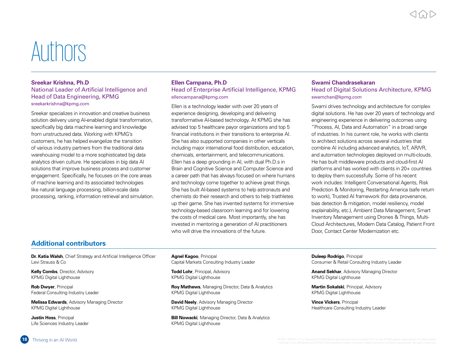## Authors

### **Sreekar Krishna, Ph.D** National Leader of Artificial Intelligence and Head of Data Engineering, KPMG sreekarkrishna@kpmg.com

Sreekar specializes in innovation and creative business solution delivery using AI-enabled digital transformation, specifically big data machine learning and knowledge from unstructured data. Working with KPMG's customers, he has helped evangelize the transition of various industry partners from the traditional data warehousing model to a more sophisticated big data analytics driven culture. He specializes in big data AI solutions that improve business process and customer engagement. Specifically, he focuses on the core areas of machine learning and its associated technologies like natural language processing, billion-scale data processing, ranking, information retrieval and simulation.

### **Ellen Campana, Ph.D** Head of Enterprise Artificial Intelligence, KPMG ellencampana@kpmg.com

Ellen is a technology leader with over 20 years of experience designing, developing and delivering transformative AI-based technology. At KPMG she has advised top 5 healthcare payor organizations and top 5 financial institutions in their transitions to enterprise AI. She has also supported companies in other verticals including major international food distribution, education, chemicals, entertainment, and telecommunications. Ellen has a deep grounding in AI, with dual Ph.D.s in Brain and Cognitive Science and Computer Science and a career path that has always focused on where humans and technology come together to achieve great things. She has built AI-based systems to help astronauts and chemists do their research and others to help triathletes up their game. She has invented systems for immersive technology-based classroom learning and for lowering the costs of medical care. Most importantly, she has invested in mentoring a generation of AI practitioners who will drive the innovations of the future.

### **Swami Chandrasekaran** Head of Digital Solutions Architecture, KPMG swamchan@kpmg.com

Swami drives technology and architecture for complex digital solutions. He has over 20 years of technology and engineering experience in delivering outcomes using "Process, AI, Data and Automation" in a broad range of industries. In his current role, he works with clients to architect solutions across several industries that combine AI including advanced analytics, IoT, AR/VR, and automation technologies deployed on multi-clouds. He has built middleware products and cloud-first AI platforms and has worked with clients in 20+ countries to deploy them successfully. Some of his recent work includes: Intelligent Conversational Agents, Risk Prediction & Monitoring, Restarting America (safe return to work), Trusted AI framework (for data provenance, bias detection & mitigation, model resiliency, model explainability, etc.), Ambient Data Management, Smart Inventory Management using Drones & Things, Multi-Cloud Architectures, Modern Data Catalog, Patient Front Door, Contact Center Modernization etc.

## **Additional contributors**

**Dr. Katia Walsh**, Chief Strategy and Artificial Intelligence Officer Levi Strauss & Co

**Kelly Combs**, Director, Advisory KPMG Digital Lighthouse

**Rob Dwyer**, Principal Federal Consulting Industry Leader

**Melissa Edwards**, Advisory Managing Director KPMG Digital Lighthouse

**Justin Hoss**, Principal Life Sciences Industry Leader **Agnel Kagoo**, Principal Capital Markets Consulting Industry Leader

**Todd Lohr**, Principal, Advisory KPMG Digital Lighthouse

**Roy Mathews**, Managing Director, Data & Analytics KPMG Digital Lighthouse

**David Neely, Advisory Managing Director** KPMG Digital Lighthouse

**Bill Nowacki**, Managing Director, Data & Analytics KPMG Digital Lighthouse

**Duleep Rodrigo**, Principal Consumer & Retail Consulting Industry Leader

**Anand Sekhar**, Advisory Managing Director KPMG Digital Lighthouse

**Martin Sokalski**, Principal, Advisory KPMG Digital Lighthouse

**Vince Vickers**, Principal Healthcare Consulting Industry Leader